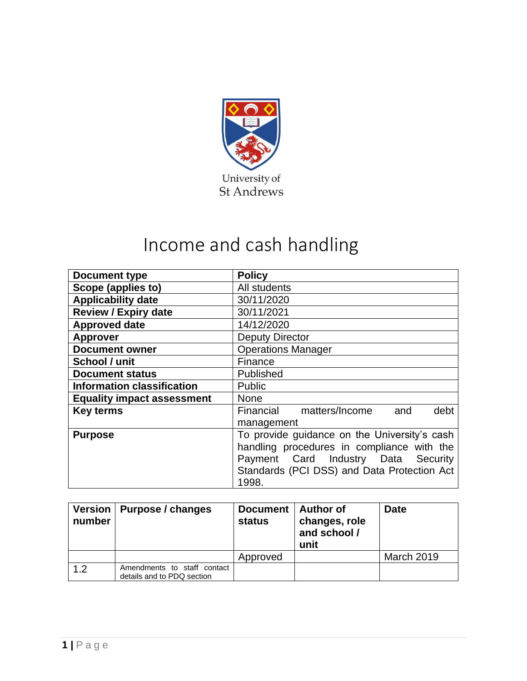

# Income and cash handling

| <b>Document type</b>              | <b>Policy</b>                                |
|-----------------------------------|----------------------------------------------|
| Scope (applies to)                | All students                                 |
| <b>Applicability date</b>         | 30/11/2020                                   |
| <b>Review / Expiry date</b>       | 30/11/2021                                   |
| <b>Approved date</b>              | 14/12/2020                                   |
| <b>Approver</b>                   | <b>Deputy Director</b>                       |
| <b>Document owner</b>             | <b>Operations Manager</b>                    |
| School / unit                     | Finance                                      |
| <b>Document status</b>            | Published                                    |
| <b>Information classification</b> | <b>Public</b>                                |
| <b>Equality impact assessment</b> | <b>None</b>                                  |
| <b>Key terms</b>                  | Financial matters/Income<br>and<br>debt      |
|                                   | management                                   |
| <b>Purpose</b>                    | To provide guidance on the University's cash |
|                                   | handling procedures in compliance with the   |
|                                   | Payment Card Industry Data Security          |
|                                   | Standards (PCI DSS) and Data Protection Act  |
|                                   | 1998.                                        |

| Version  <br>number | Purpose / changes                                         | Document  <br><b>status</b> | <b>Author of</b><br>changes, role<br>and school /<br>unit | <b>Date</b>       |
|---------------------|-----------------------------------------------------------|-----------------------------|-----------------------------------------------------------|-------------------|
|                     |                                                           | Approved                    |                                                           | <b>March 2019</b> |
| 1.2                 | Amendments to staff contact<br>details and to PDQ section |                             |                                                           |                   |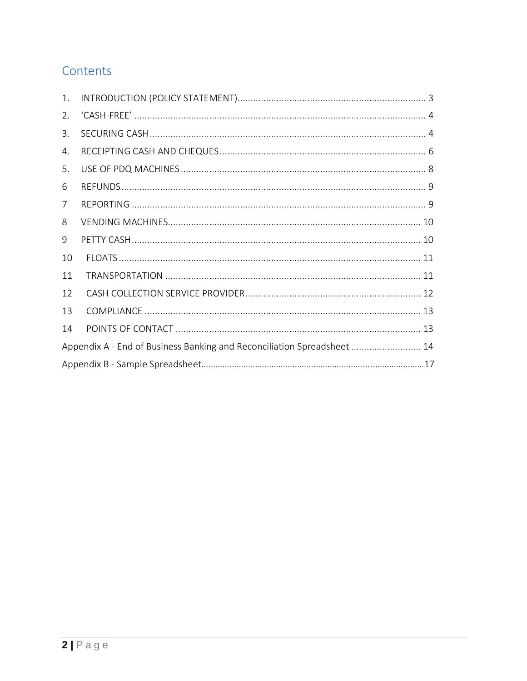# Contents

| 1. |                                                                         |  |
|----|-------------------------------------------------------------------------|--|
| 2. |                                                                         |  |
| 3. |                                                                         |  |
| 4. |                                                                         |  |
| 5. |                                                                         |  |
| 6  |                                                                         |  |
| 7  |                                                                         |  |
| 8  |                                                                         |  |
| 9  |                                                                         |  |
| 10 |                                                                         |  |
| 11 |                                                                         |  |
| 12 |                                                                         |  |
| 13 |                                                                         |  |
| 14 |                                                                         |  |
|    | Appendix A - End of Business Banking and Reconciliation Spreadsheet  14 |  |
|    |                                                                         |  |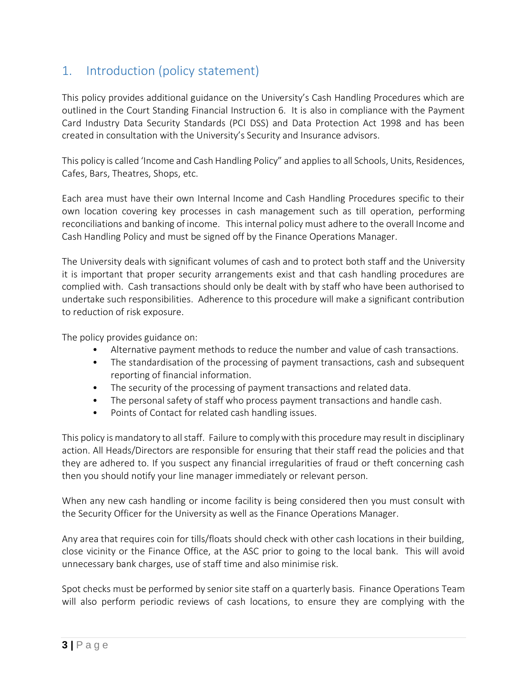# 1. Introduction (policy statement)

This policy provides additional guidance on the University's Cash Handling Procedures which are outlined in the Court Standing Financial Instruction 6. It is also in compliance with the Payment Card Industry Data Security Standards (PCI DSS) and Data Protection Act 1998 and has been created in consultation with the University's Security and Insurance advisors.

This policy is called 'Income and Cash Handling Policy" and applies to all Schools, Units, Residences, Cafes, Bars, Theatres, Shops, etc.

Each area must have their own Internal Income and Cash Handling Procedures specific to their own location covering key processes in cash management such as till operation, performing reconciliations and banking of income. This internal policy must adhere to the overall Income and Cash Handling Policy and must be signed off by the Finance Operations Manager.

The University deals with significant volumes of cash and to protect both staff and the University it is important that proper security arrangements exist and that cash handling procedures are complied with. Cash transactions should only be dealt with by staff who have been authorised to undertake such responsibilities. Adherence to this procedure will make a significant contribution to reduction of risk exposure.

The policy provides guidance on:

- Alternative payment methods to reduce the number and value of cash transactions.
- The standardisation of the processing of payment transactions, cash and subsequent reporting of financial information.
- The security of the processing of payment transactions and related data.
- The personal safety of staff who process payment transactions and handle cash.
- Points of Contact for related cash handling issues.

This policy is mandatory to all staff. Failure to comply with this procedure may result in disciplinary action. All Heads/Directors are responsible for ensuring that their staff read the policies and that they are adhered to. If you suspect any financial irregularities of fraud or theft concerning cash then you should notify your line manager immediately or relevant person.

When any new cash handling or income facility is being considered then you must consult with the Security Officer for the University as well as the Finance Operations Manager.

Any area that requires coin for tills/floats should check with other cash locations in their building, close vicinity or the Finance Office, at the ASC prior to going to the local bank. This will avoid unnecessary bank charges, use of staff time and also minimise risk.

Spot checks must be performed by senior site staff on a quarterly basis. Finance Operations Team will also perform periodic reviews of cash locations, to ensure they are complying with the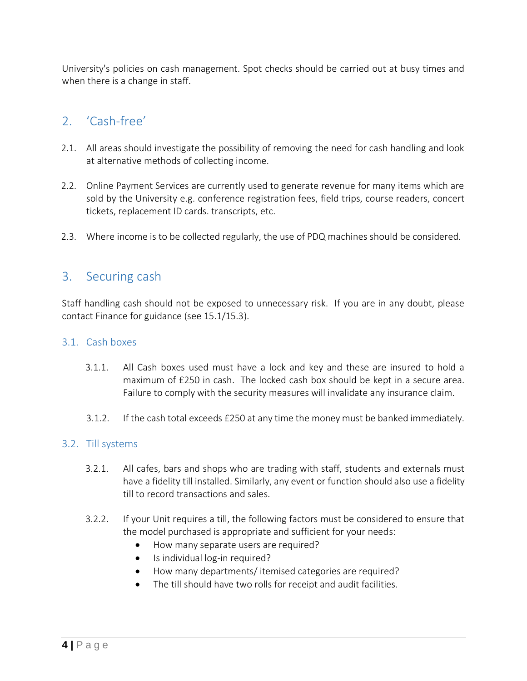University's policies on cash management. Spot checks should be carried out at busy times and when there is a change in staff.

# 2. 'Cash-free'

- 2.1. All areas should investigate the possibility of removing the need for cash handling and look at alternative methods of collecting income.
- 2.2. Online Payment Services are currently used to generate revenue for many items which are sold by the University e.g. conference registration fees, field trips, course readers, concert tickets, replacement ID cards. transcripts, etc.
- 2.3. Where income is to be collected regularly, the use of PDQ machines should be considered.

# 3. Securing cash

Staff handling cash should not be exposed to unnecessary risk. If you are in any doubt, please contact Finance for guidance (see 15.1/15.3).

#### 3.1. Cash boxes

- 3.1.1. All Cash boxes used must have a lock and key and these are insured to hold a maximum of £250 in cash. The locked cash box should be kept in a secure area. Failure to comply with the security measures will invalidate any insurance claim.
- 3.1.2. If the cash total exceeds £250 at any time the money must be banked immediately.

## 3.2. Till systems

- 3.2.1. All cafes, bars and shops who are trading with staff, students and externals must have a fidelity till installed. Similarly, any event or function should also use a fidelity till to record transactions and sales.
- 3.2.2. If your Unit requires a till, the following factors must be considered to ensure that the model purchased is appropriate and sufficient for your needs:
	- How many separate users are required?
	- Is individual log-in required?
	- How many departments/ itemised categories are required?
	- The till should have two rolls for receipt and audit facilities.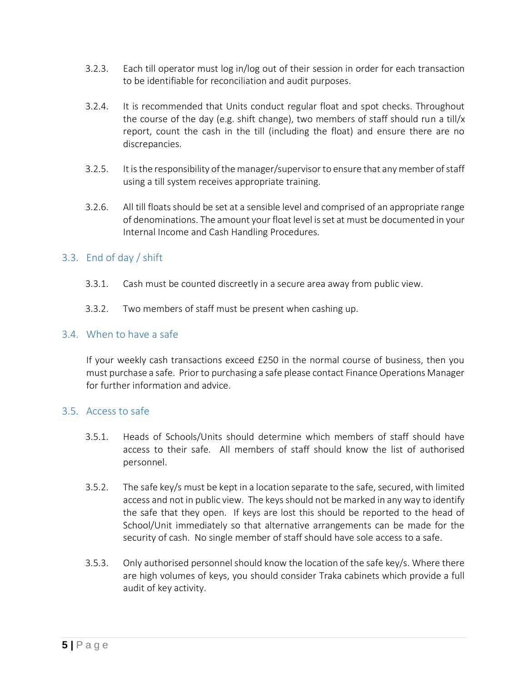- 3.2.3. Each till operator must log in/log out of their session in order for each transaction to be identifiable for reconciliation and audit purposes.
- 3.2.4. It is recommended that Units conduct regular float and spot checks. Throughout the course of the day (e.g. shift change), two members of staff should run a till/x report, count the cash in the till (including the float) and ensure there are no discrepancies.
- 3.2.5. It is the responsibility of the manager/supervisor to ensure that any member of staff using a till system receives appropriate training.
- 3.2.6. All till floats should be set at a sensible level and comprised of an appropriate range of denominations. The amount your float level is set at must be documented in your Internal Income and Cash Handling Procedures.

## 3.3. End of day / shift

- 3.3.1. Cash must be counted discreetly in a secure area away from public view.
- 3.3.2. Two members of staff must be present when cashing up.

## 3.4. When to have a safe

If your weekly cash transactions exceed £250 in the normal course of business, then you must purchase a safe. Prior to purchasing a safe please contact Finance Operations Manager for further information and advice.

#### 3.5. Access to safe

- 3.5.1. Heads of Schools/Units should determine which members of staff should have access to their safe. All members of staff should know the list of authorised personnel.
- 3.5.2. The safe key/s must be kept in a location separate to the safe, secured, with limited access and not in public view. The keys should not be marked in any way to identify the safe that they open. If keys are lost this should be reported to the head of School/Unit immediately so that alternative arrangements can be made for the security of cash. No single member of staff should have sole access to a safe.
- 3.5.3. Only authorised personnel should know the location of the safe key/s. Where there are high volumes of keys, you should consider Traka cabinets which provide a full audit of key activity.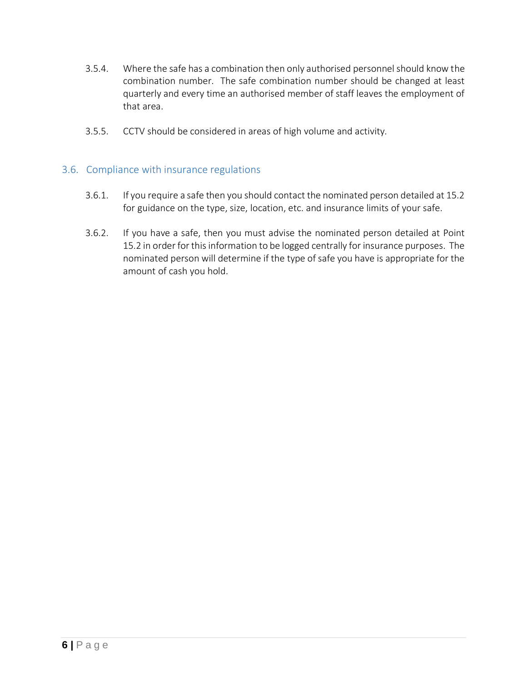- 3.5.4. Where the safe has a combination then only authorised personnel should know the combination number. The safe combination number should be changed at least quarterly and every time an authorised member of staff leaves the employment of that area.
- 3.5.5. CCTV should be considered in areas of high volume and activity.

#### 3.6. Compliance with insurance regulations

- 3.6.1. If you require a safe then you should contact the nominated person detailed at 15.2 for guidance on the type, size, location, etc. and insurance limits of your safe.
- 3.6.2. If you have a safe, then you must advise the nominated person detailed at Point 15.2 in order for this information to be logged centrally for insurance purposes. The nominated person will determine if the type of safe you have is appropriate for the amount of cash you hold.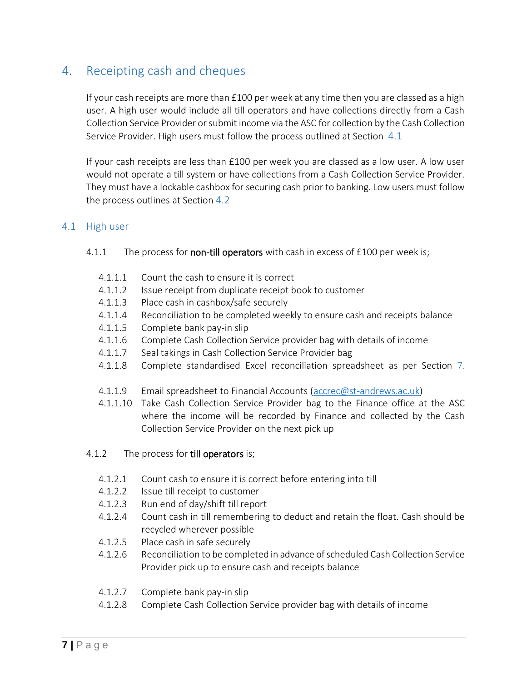# 4. Receipting cash and cheques

If your cash receipts are more than £100 per week at any time then you are classed as a high user. A high user would include all till operators and have collections directly from a Cash Collection Service Provider or submit income via the ASC for collection by the Cash Collection Service Provider. High users must follow the process outlined at Section  $4.1$ 

If your cash receipts are less than £100 per week you are classed as a low user. A low user would not operate a till system or have collections from a Cash Collection Service Provider. They must have a lockable cashbox for securing cash prior to banking. Low users must follow the process outlines at Section  $4.2$ 

#### <span id="page-6-0"></span>4.1 High user

#### 4.1.1 The process for non-till operators with cash in excess of £100 per week is;

- 4.1.1.1 Count the cash to ensure it is correct
- 4.1.1.2 Issue receipt from duplicate receipt book to customer
- 4.1.1.3 Place cash in cashbox/safe securely
- 4.1.1.4 Reconciliation to be completed weekly to ensure cash and receipts balance
- 4.1.1.5 Complete bank pay-in slip
- 4.1.1.6 Complete Cash Collection Service provider bag with details of income
- 4.1.1.7 Seal takings in Cash Collection Service Provider bag
- 4.1.1.8 Complete standardised Excel reconciliation spreadsheet as per Section [7.](#page-10-0)
- 4.1.1.9 Email spreadsheet to Financial Accounts [\(accrec@st-andrews.ac.uk\)](mailto:accrec@st-andrews.ac.uk)
- 4.1.1.10 Take Cash Collection Service Provider bag to the Finance office at the ASC where the income will be recorded by Finance and collected by the Cash Collection Service Provider on the next pick up
- 4.1.2 The process for **till operators** is;
	- 4.1.2.1 Count cash to ensure it is correct before entering into till
	- 4.1.2.2 Issue till receipt to customer
	- 4.1.2.3 Run end of day/shift till report
	- 4.1.2.4 Count cash in till remembering to deduct and retain the float. Cash should be recycled wherever possible
	- 4.1.2.5 Place cash in safe securely
	- 4.1.2.6 Reconciliation to be completed in advance of scheduled Cash Collection Service Provider pick up to ensure cash and receipts balance
	- 4.1.2.7 Complete bank pay-in slip
	- 4.1.2.8 Complete Cash Collection Service provider bag with details of income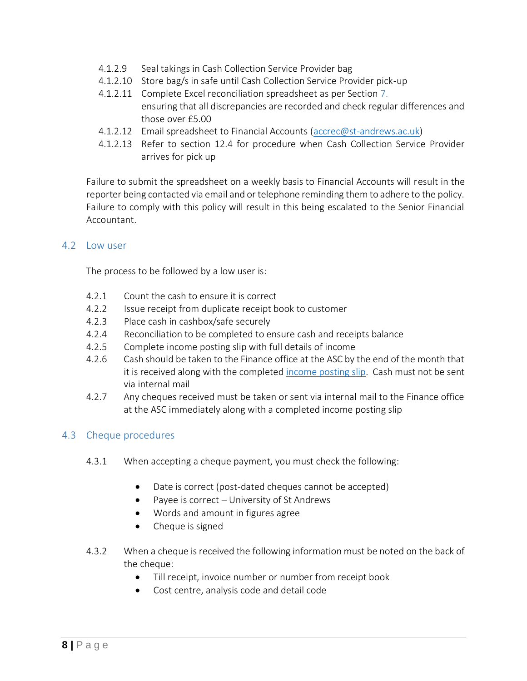- 4.1.2.9 Seal takings in Cash Collection Service Provider bag
- 4.1.2.10 Store bag/s in safe until Cash Collection Service Provider pick-up
- 4.1.2.11 Complete Excel reconciliation spreadsheet as per Section 7. ensuring that all discrepancies are recorded and check regular differences and those over £5.00
- 4.1.2.12 Email spreadsheet to Financial Accounts [\(accrec@st-andrews.ac.uk\)](mailto:accrec@st-andrews.ac.uk)
- 4.1.2.13 Refer to section 12.4 for procedure when Cash Collection Service Provider arrives for pick up

Failure to submit the spreadsheet on a weekly basis to Financial Accounts will result in the reporter being contacted via email and or telephone reminding them to adhere to the policy. Failure to comply with this policy will result in this being escalated to the Senior Financial Accountant.

#### <span id="page-7-0"></span>4.2 Low user

The process to be followed by a low user is:

- 4.2.1 Count the cash to ensure it is correct
- 4.2.2 Issue receipt from duplicate receipt book to customer
- 4.2.3 Place cash in cashbox/safe securely
- 4.2.4 Reconciliation to be completed to ensure cash and receipts balance
- 4.2.5 Complete income posting slip with full details of income
- 4.2.6 Cash should be taken to the Finance office at the ASC by the end of the month that it is received along with the completed [income posting slip.](https://www.st-andrews.ac.uk/staff/money/bankingmoney/) Cash must not be sent via internal mail
- 4.2.7 Any cheques received must be taken or sent via internal mail to the Finance office at the ASC immediately along with a completed income posting slip

## 4.3 Cheque procedures

- 4.3.1 When accepting a cheque payment, you must check the following:
	- Date is correct (post-dated cheques cannot be accepted)
	- Payee is correct University of St Andrews
	- Words and amount in figures agree
	- Cheque is signed
- 4.3.2 When a cheque is received the following information must be noted on the back of the cheque:
	- Till receipt, invoice number or number from receipt book
	- Cost centre, analysis code and detail code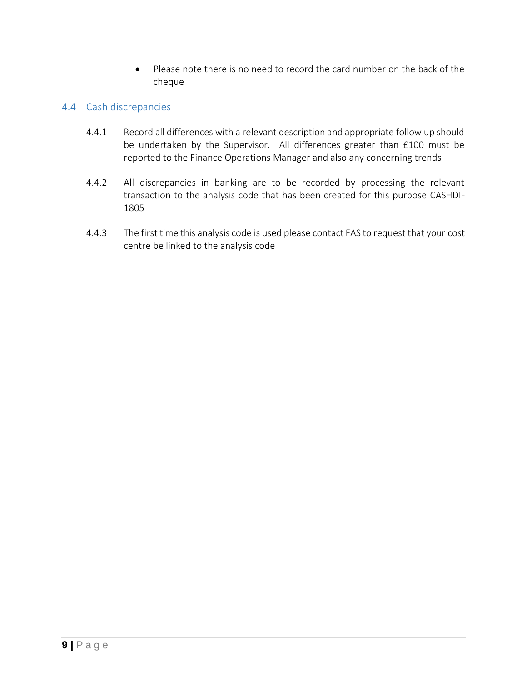• Please note there is no need to record the card number on the back of the cheque

## 4.4 Cash discrepancies

- 4.4.1 Record all differences with a relevant description and appropriate follow up should be undertaken by the Supervisor. All differences greater than £100 must be reported to the Finance Operations Manager and also any concerning trends
- 4.4.2 All discrepancies in banking are to be recorded by processing the relevant transaction to the analysis code that has been created for this purpose CASHDI-1805
- 4.4.3 The first time this analysis code is used please contact FAS to request that your cost centre be linked to the analysis code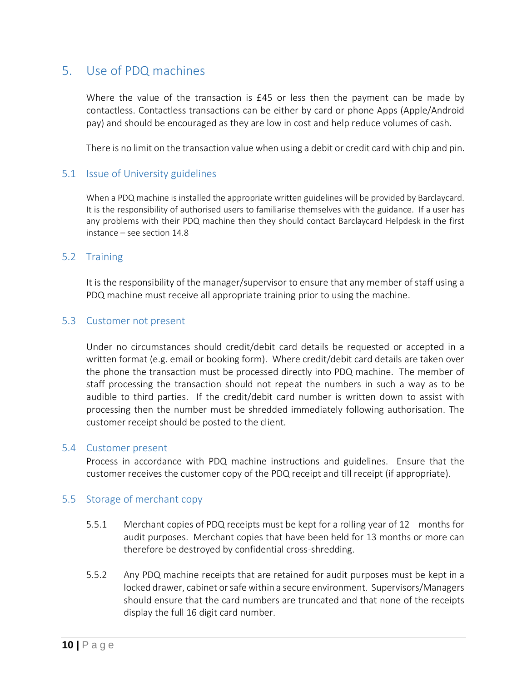# <span id="page-9-0"></span>5. Use of PDQ machines

Where the value of the transaction is £45 or less then the payment can be made by contactless. Contactless transactions can be either by card or phone Apps (Apple/Android pay) and should be encouraged as they are low in cost and help reduce volumes of cash.

There is no limit on the transaction value when using a debit or credit card with chip and pin.

## 5.1 Issue of University guidelines

When a PDQ machine is installed the appropriate written guidelines will be provided by Barclaycard. It is the responsibility of authorised users to familiarise themselves with the guidance. If a user has any problems with their PDQ machine then they should contact Barclaycard Helpdesk in the first instance – see section 14.8

#### 5.2 Training

It is the responsibility of the manager/supervisor to ensure that any member of staff using a PDQ machine must receive all appropriate training prior to using the machine.

#### 5.3 Customer not present

Under no circumstances should credit/debit card details be requested or accepted in a written format (e.g. email or booking form). Where credit/debit card details are taken over the phone the transaction must be processed directly into PDQ machine. The member of staff processing the transaction should not repeat the numbers in such a way as to be audible to third parties. If the credit/debit card number is written down to assist with processing then the number must be shredded immediately following authorisation. The customer receipt should be posted to the client.

#### 5.4 Customer present

Process in accordance with PDQ machine instructions and guidelines. Ensure that the customer receives the customer copy of the PDQ receipt and till receipt (if appropriate).

## 5.5 Storage of merchant copy

- 5.5.1 Merchant copies of PDQ receipts must be kept for a rolling year of 12 months for audit purposes. Merchant copies that have been held for 13 months or more can therefore be destroyed by confidential cross-shredding.
- 5.5.2 Any PDQ machine receipts that are retained for audit purposes must be kept in a locked drawer, cabinet or safe within a secure environment. Supervisors/Managers should ensure that the card numbers are truncated and that none of the receipts display the full 16 digit card number.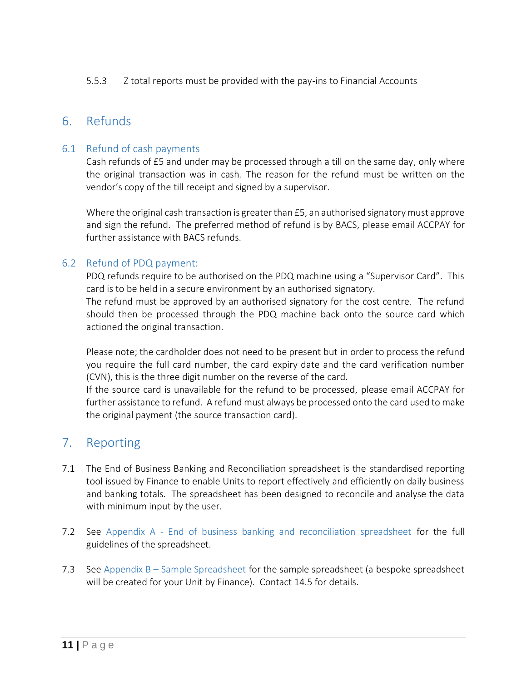#### 5.5.3 Z total reports must be provided with the pay-ins to Financial Accounts

# 6. Refunds

## 6.1 Refund of cash payments

Cash refunds of £5 and under may be processed through a till on the same day, only where the original transaction was in cash. The reason for the refund must be written on the vendor's copy of the till receipt and signed by a supervisor.

Where the original cash transaction is greater than £5, an authorised signatory must approve and sign the refund. The preferred method of refund is by BACS, please email ACCPAY for further assistance with BACS refunds.

## 6.2 Refund of PDQ payment:

PDQ refunds require to be authorised on the PDQ machine using a "Supervisor Card". This card is to be held in a secure environment by an authorised signatory.

The refund must be approved by an authorised signatory for the cost centre. The refund should then be processed through the PDQ machine back onto the source card which actioned the original transaction.

Please note; the cardholder does not need to be present but in order to process the refund you require the full card number, the card expiry date and the card verification number (CVN), this is the three digit number on the reverse of the card.

If the source card is unavailable for the refund to be processed, please email ACCPAY for further assistance to refund. A refund must always be processed onto the card used to make the original payment (the source transaction card).

# <span id="page-10-0"></span>7. Reporting

- 7.1 The End of Business Banking and Reconciliation spreadsheet is the standardised reporting tool issued by Finance to enable Units to report effectively and efficiently on daily business and banking totals. The spreadsheet has been designed to reconcile and analyse the data with minimum input by the user.
- 7.2 See Appendix A [End of business banking and reconciliation spreadsheet](#page-15-0) for the full guidelines of the spreadsheet.
- 7.3 See Appendix B [Sample Spreadsheet](#page-19-0) for the sample spreadsheet (a bespoke spreadsheet will be created for your Unit by Finance). Contact 14.5 for details.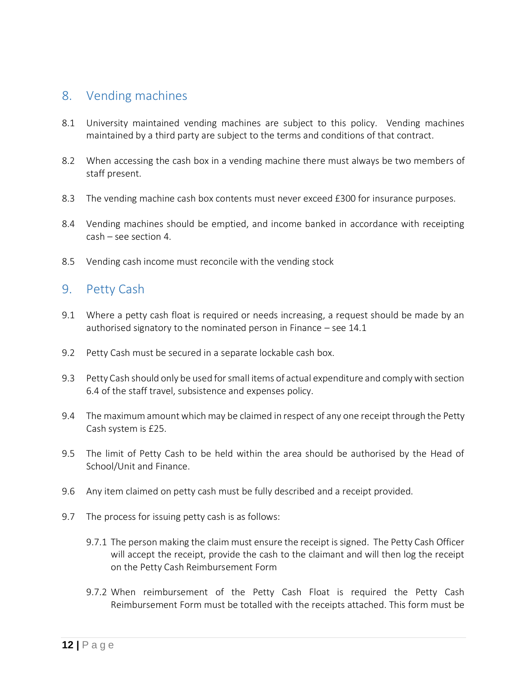# 8. Vending machines

- 8.1 University maintained vending machines are subject to this policy. Vending machines maintained by a third party are subject to the terms and conditions of that contract.
- 8.2 When accessing the cash box in a vending machine there must always be two members of staff present.
- 8.3 The vending machine cash box contents must never exceed £300 for insurance purposes.
- 8.4 Vending machines should be emptied, and income banked in accordance with receipting cash – see section 4.
- 8.5 Vending cash income must reconcile with the vending stock

# 9. Petty Cash

- 9.1 Where a petty cash float is required or needs increasing, a request should be made by an authorised signatory to the nominated person in Finance – see 14.1
- 9.2 Petty Cash must be secured in a separate lockable cash box.
- 9.3 Petty Cash should only be used for small items of actual expenditure and comply with section 6.4 of the staff travel, subsistence and expenses policy.
- 9.4 The maximum amount which may be claimed in respect of any one receipt through the Petty Cash system is £25.
- 9.5 The limit of Petty Cash to be held within the area should be authorised by the Head of School/Unit and Finance.
- 9.6 Any item claimed on petty cash must be fully described and a receipt provided.
- 9.7 The process for issuing petty cash is as follows:
	- 9.7.1 The person making the claim must ensure the receipt is signed. The Petty Cash Officer will accept the receipt, provide the cash to the claimant and will then log the receipt on the Petty Cash Reimbursement Form
	- 9.7.2 When reimbursement of the Petty Cash Float is required the Petty Cash Reimbursement Form must be totalled with the receipts attached. This form must be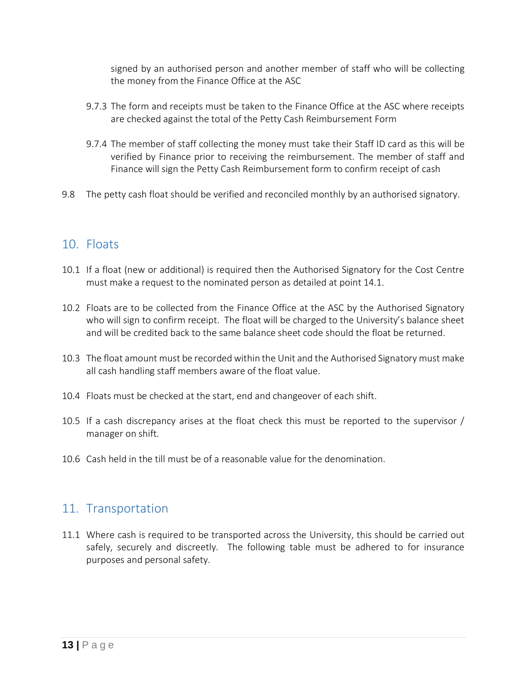signed by an authorised person and another member of staff who will be collecting the money from the Finance Office at the ASC

- 9.7.3 The form and receipts must be taken to the Finance Office at the ASC where receipts are checked against the total of the Petty Cash Reimbursement Form
- 9.7.4 The member of staff collecting the money must take their Staff ID card as this will be verified by Finance prior to receiving the reimbursement. The member of staff and Finance will sign the Petty Cash Reimbursement form to confirm receipt of cash
- 9.8 The petty cash float should be verified and reconciled monthly by an authorised signatory.

# 10. Floats

- 10.1 If a float (new or additional) is required then the Authorised Signatory for the Cost Centre must make a request to the nominated person as detailed at point 14.1.
- 10.2 Floats are to be collected from the Finance Office at the ASC by the Authorised Signatory who will sign to confirm receipt. The float will be charged to the University's balance sheet and will be credited back to the same balance sheet code should the float be returned.
- 10.3 The float amount must be recorded within the Unit and the Authorised Signatory must make all cash handling staff members aware of the float value.
- 10.4 Floats must be checked at the start, end and changeover of each shift.
- 10.5 If a cash discrepancy arises at the float check this must be reported to the supervisor / manager on shift.
- 10.6 Cash held in the till must be of a reasonable value for the denomination.

## 11. Transportation

11.1 Where cash is required to be transported across the University, this should be carried out safely, securely and discreetly. The following table must be adhered to for insurance purposes and personal safety.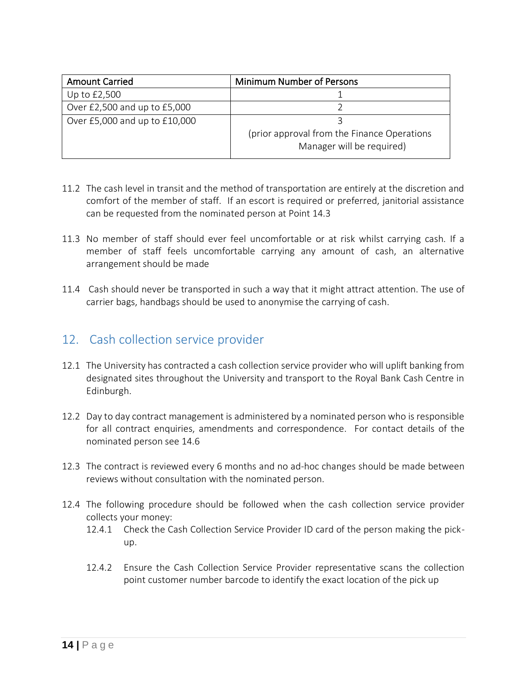| <b>Amount Carried</b>         | <b>Minimum Number of Persons</b>                                          |
|-------------------------------|---------------------------------------------------------------------------|
| Up to £2,500                  |                                                                           |
| Over £2,500 and up to £5,000  |                                                                           |
| Over £5,000 and up to £10,000 |                                                                           |
|                               | (prior approval from the Finance Operations)<br>Manager will be required) |
|                               |                                                                           |

- 11.2 The cash level in transit and the method of transportation are entirely at the discretion and comfort of the member of staff. If an escort is required or preferred, janitorial assistance can be requested from the nominated person at Point 14.3
- 11.3 No member of staff should ever feel uncomfortable or at risk whilst carrying cash. If a member of staff feels uncomfortable carrying any amount of cash, an alternative arrangement should be made
- 11.4 Cash should never be transported in such a way that it might attract attention. The use of carrier bags, handbags should be used to anonymise the carrying of cash.

# 12. Cash collection service provider

- 12.1 The University has contracted a cash collection service provider who will uplift banking from designated sites throughout the University and transport to the Royal Bank Cash Centre in Edinburgh.
- 12.2 Day to day contract management is administered by a nominated person who is responsible for all contract enquiries, amendments and correspondence. For contact details of the nominated person see 14.6
- 12.3 The contract is reviewed every 6 months and no ad-hoc changes should be made between reviews without consultation with the nominated person.
- 12.4 The following procedure should be followed when the cash collection service provider collects your money:
	- 12.4.1 Check the Cash Collection Service Provider ID card of the person making the pickup.
	- 12.4.2 Ensure the Cash Collection Service Provider representative scans the collection point customer number barcode to identify the exact location of the pick up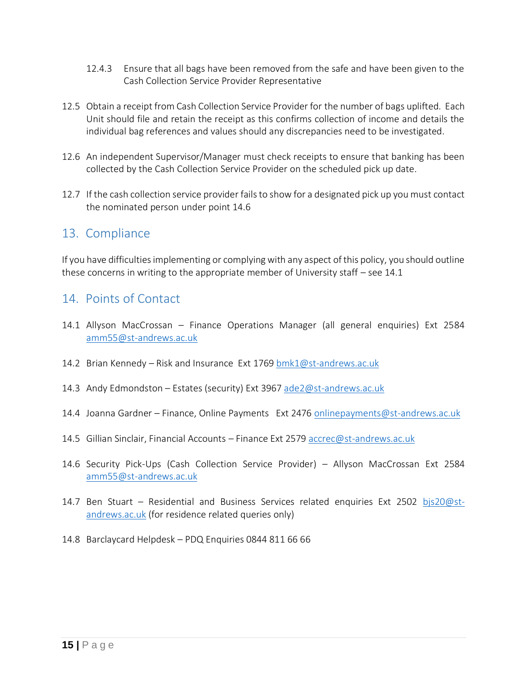- 12.4.3 Ensure that all bags have been removed from the safe and have been given to the Cash Collection Service Provider Representative
- 12.5 Obtain a receipt from Cash Collection Service Provider for the number of bags uplifted. Each Unit should file and retain the receipt as this confirms collection of income and details the individual bag references and values should any discrepancies need to be investigated.
- 12.6 An independent Supervisor/Manager must check receipts to ensure that banking has been collected by the Cash Collection Service Provider on the scheduled pick up date.
- 12.7 If the cash collection service provider fails to show for a designated pick up you must contact the nominated person under point 14.6

# 13. Compliance

If you have difficulties implementing or complying with any aspect of this policy, you should outline these concerns in writing to the appropriate member of University staff – see 14.1

# 14. Points of Contact

- 14.1 Allyson MacCrossan Finance Operations Manager (all general enquiries) Ext 2584 [amm55@st-andrews.ac.uk](mailto:amm55@st-andrews.ac.uk)
- 14.2 Brian Kennedy Risk and Insurance Ext 1769 [bmk1@st-andrews.ac.uk](mailto:bmk1@st-andrews.ac.uk)
- 14.3 Andy Edmondston Estates (security) Ext 3967 [ade2@st-andrews.ac.uk](mailto:ade2@st-andrews.ac.uk)
- 14.4 Joanna Gardner Finance, Online Payments Ext 2476 [onlinepayments@st-andrews.ac.uk](mailto:onlinepayments@st-andrews.ac.uk)
- 14.5 Gillian Sinclair, Financial Accounts Finance Ext 2579 [accrec@st-andrews.ac.uk](mailto:accrec@st-andrews.ac.uk)
- 14.6 Security Pick-Ups (Cash Collection Service Provider) Allyson MacCrossan Ext 2584 [amm55@st-andrews.ac.uk](mailto:amm55@st-andrews.ac.uk)
- 14.7 Ben Stuart Residential and Business Services related enquiries Ext 2502 [bjs20@st](mailto:bjs20@st-andrews.ac.uk)[andrews.ac.uk](mailto:bjs20@st-andrews.ac.uk) (for residence related queries only)
- <span id="page-14-0"></span>14.8 Barclaycard Helpdesk – PDQ Enquiries 0844 811 66 66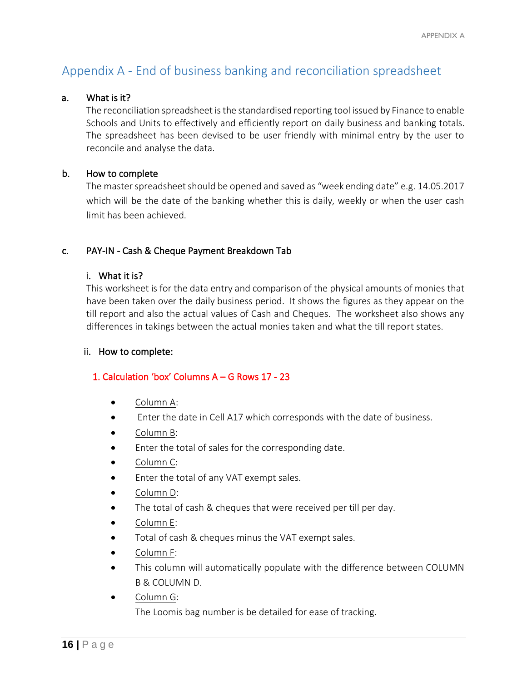# <span id="page-15-0"></span>Appendix A - End of business banking and reconciliation spreadsheet

#### a. What is it?

The reconciliation spreadsheet is the standardised reporting tool issued by Finance to enable Schools and Units to effectively and efficiently report on daily business and banking totals. The spreadsheet has been devised to be user friendly with minimal entry by the user to reconcile and analyse the data.

#### b. How to complete

The master spreadsheet should be opened and saved as "week ending date" e.g. 14.05.2017 which will be the date of the banking whether this is daily, weekly or when the user cash limit has been achieved.

#### c. PAY-IN - Cash & Cheque Payment Breakdown Tab

#### i. What it is?

This worksheet is for the data entry and comparison of the physical amounts of monies that have been taken over the daily business period. It shows the figures as they appear on the till report and also the actual values of Cash and Cheques. The worksheet also shows any differences in takings between the actual monies taken and what the till report states.

#### ii. How to complete:

#### 1. Calculation 'box' Columns A – G Rows 17 - 23

- Column A:
- Enter the date in Cell A17 which corresponds with the date of business.
- Column B:
- Enter the total of sales for the corresponding date.
- Column C:
- Enter the total of any VAT exempt sales.
- Column D:
- The total of cash & cheques that were received per till per day.
- Column E:
- Total of cash & cheques minus the VAT exempt sales.
- Column F:
- This column will automatically populate with the difference between COLUMN B & COLUMN D.
- Column G:

The Loomis bag number is be detailed for ease of tracking.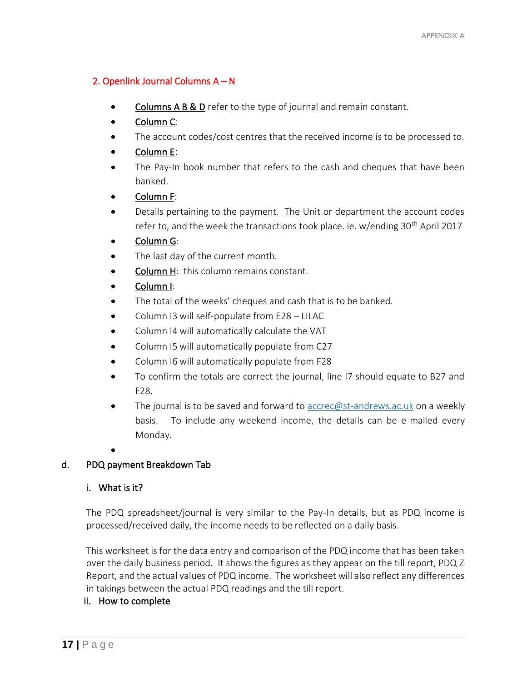## 2. Openlink Journal Columns A – N

- Columns A B & D refer to the type of journal and remain constant.
- Column C:
- The account codes/cost centres that the received income is to be processed to.
- Column E:
- The Pay-In book number that refers to the cash and cheques that have been banked.
- Column F:
- Details pertaining to the payment. The Unit or department the account codes refer to, and the week the transactions took place. ie. w/ending 30<sup>th</sup> April 2017
- Column G:
- The last day of the current month.
- Column H: this column remains constant.
- Column I:
- The total of the weeks' cheques and cash that is to be banked.
- Column 13 will self-populate from E28 LILAC
- Column I4 will automatically calculate the VAT
- Column I5 will automatically populate from C27
- Column I6 will automatically populate from F28
- To confirm the totals are correct the journal, line I7 should equate to B27 and F28.
- The journal is to be saved and forward to **accrec@st-andrews.ac.uk** on a weekly basis. To include any weekend income, the details can be e-mailed every Monday.
- •

## d. PDQ payment Breakdown Tab

## i. What is it?

The PDQ spreadsheet/journal is very similar to the Pay-In details, but as PDQ income is processed/received daily, the income needs to be reflected on a daily basis.

This worksheet is for the data entry and comparison of the PDQ income that has been taken over the daily business period. It shows the figures as they appear on the till report, PDQ Z Report, and the actual values of PDQ income. The worksheet will also reflect any differences in takings between the actual PDQ readings and the till report.

## ii. How to complete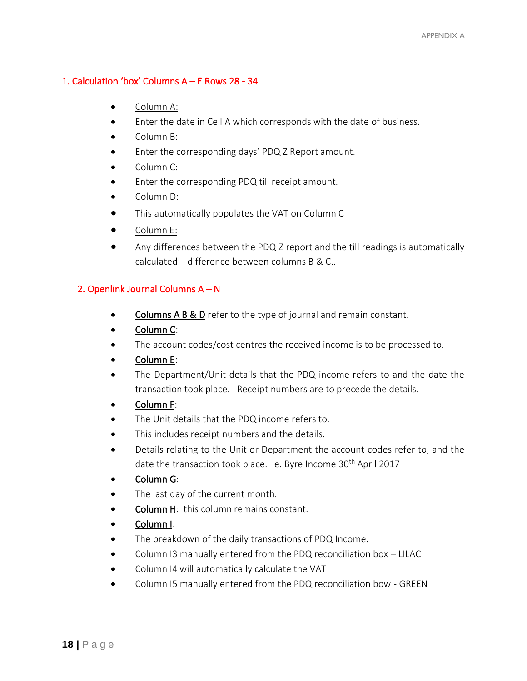## 1. Calculation 'box' Columns A – E Rows 28 - 34

- Column A:
- Enter the date in Cell A which corresponds with the date of business.
- Column B:
- Enter the corresponding days' PDQ Z Report amount.
- Column C:
- Enter the corresponding PDQ till receipt amount.
- Column D:
- This automatically populates the VAT on Column C
- Column E:
- Any differences between the PDQ Z report and the till readings is automatically calculated – difference between columns B & C..

## 2. Openlink Journal Columns A – N

- Columns A B & D refer to the type of journal and remain constant.
- Column C:
- The account codes/cost centres the received income is to be processed to.
- Column E:
- The Department/Unit details that the PDQ income refers to and the date the transaction took place. Receipt numbers are to precede the details.
- Column F:
- The Unit details that the PDQ income refers to.
- This includes receipt numbers and the details.
- Details relating to the Unit or Department the account codes refer to, and the date the transaction took place. ie. Byre Income 30<sup>th</sup> April 2017
- Column G:
- The last day of the current month.
- Column H: this column remains constant.
- Column I:
- The breakdown of the daily transactions of PDQ Income.
- Column I3 manually entered from the PDQ reconciliation box LILAC
- Column I4 will automatically calculate the VAT
- Column I5 manually entered from the PDQ reconciliation bow GREEN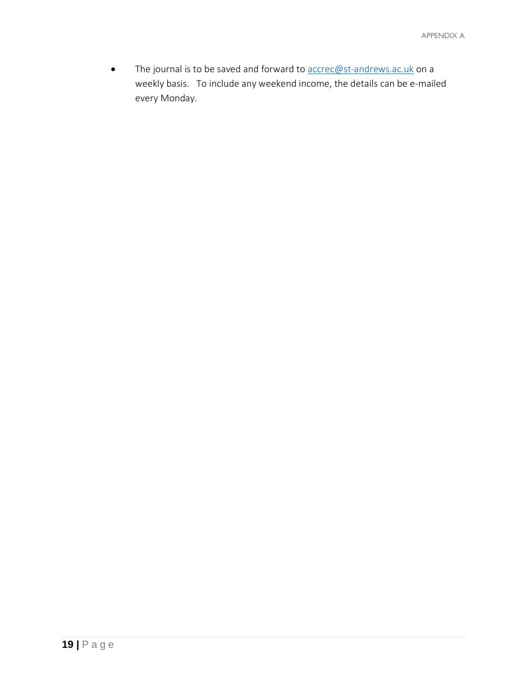• The journal is to be saved and forward to **accrec@st-andrews.ac.uk** on a weekly basis. To include any weekend income, the details can be e-mailed every Monday.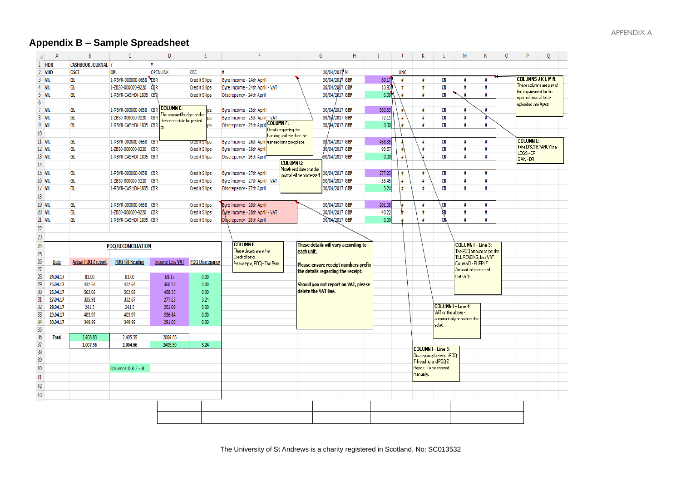# **Appendix B – Sample Spreadsheet**

<span id="page-19-0"></span>

| $\Delta$      | B                          | C                         | D                                                             |                        | F                                                 | G                                    | H              |                 |            | K                                               | L                         | M                           | N                         | 0 | D                                                 | Q |
|---------------|----------------------------|---------------------------|---------------------------------------------------------------|------------------------|---------------------------------------------------|--------------------------------------|----------------|-----------------|------------|-------------------------------------------------|---------------------------|-----------------------------|---------------------------|---|---------------------------------------------------|---|
| 1 HDR         | <b>CASHBOOK JOURNAL Y</b>  |                           | <b>V</b>                                                      |                        |                                                   |                                      |                |                 |            |                                                 |                           |                             |                           |   |                                                   |   |
| 2 VHD         | GS67                       | OPL                       | <b>OPENLINK</b>                                               | CBC                    | Ħ                                                 |                                      | 30/04/2017 N   |                 | <b>UNC</b> |                                                 |                           |                             |                           |   |                                                   |   |
| $3$ VIL       | GL                         | 1-RBYR-000000-0658 CBR    |                                                               | <b>Credit Slips</b>    | Byre Income - 24th April                          |                                      | 30/04/2017 GBP | 69.17           | #          | #                                               | CR                        | Ħ                           | ₩                         |   | <b>COLUMNS JKLMN:</b>                             |   |
| 4 VIL         | GL                         | 1-ZBS0-000000-9220        | <b>CBR</b>                                                    | <b>Credit Slips</b>    | Byre Income - 24th April - VAT                    |                                      | 30/04/2007 GBP | 13.83           | Ħ          | #                                               | CR                        | Ħ                           | н                         |   | These columns are part of                         |   |
| 5 VIL         | GL                         | 1-RBYR-CASHDI-1805 CBR    |                                                               | <b>Credit Slips</b>    | Discrepancy - 24th April                          |                                      | 30/04/2017 GBP | 0.00            | Ħ          | Ħ                                               | <b>CR</b>                 | $\pmb{\sharp}$              | Ħ                         |   | the requirement for the<br>openlink journal to be |   |
|               |                            |                           |                                                               |                        |                                                   |                                      |                |                 |            |                                                 |                           |                             |                           |   | uploaded into Aptos                               |   |
| 7 VIL         | GL                         | 1-RBYR-000000-0658 CBR    | <b>COLUMN C:</b>                                              | ips                    | Byre Income - 25th April                          |                                      | 30/04/2017 GBP | 360.53          | #          | #                                               | CR                        | Ħ                           | Ħ                         |   |                                                   |   |
| 8 VIL         | GL                         | 1-ZBS0-000000-9220        | The account/budget codes<br>CBF<br>the income is to be posted | ps                     | Byre Income - 25th April - VAT                    |                                      | 30/04/2017 GBP | 72.11           | #          | #                                               | CR                        | Ħ                           |                           |   |                                                   |   |
| 9 VIL         | GL                         | 1-RBYR-CASHDI-1805 CBR    | lto                                                           | ips                    | <b>COLUMN F:</b><br>Discrepancy - 25th Apri       |                                      | 30/04/2017 GBP | 0.00            | Ħ          | #                                               | CR                        | Ħ                           | ₩                         |   |                                                   |   |
|               |                            |                           |                                                               |                        | Details regarding the<br>banking and the date the |                                      |                |                 |            |                                                 |                           |                             |                           |   |                                                   |   |
| 11 VIL        | GL                         | 1-RBYR-000000-0658 CBR    |                                                               | tream stips            | Byre Income - 26th April transactions took place. |                                      | 30/04/2017 GBP | 468.35          |            | #                                               | CR                        | #                           | Ħ                         |   | <b>COLUMN L:</b>                                  |   |
| <b>12 VIL</b> | GL                         | 1-ZBS0-000000-9220 CBR    |                                                               | <b>Credit Slips</b>    | Byre Income - 26th Apri                           |                                      | 30/04/2017 GBP | 93.67           |            | Ħ                                               | <b>CR</b>                 | Ħ                           | Ħ                         |   | If the DISCREPANCY is a                           |   |
| 13 VIL        | GL                         | 1-RBYR-CASHDI-1805 CBR    |                                                               | <b>Credit Slips</b>    | Discrepancy - 26th April                          |                                      | 30/04/2017 GBP | 0.00            | #          |                                                 | <b>CR</b>                 | #                           | Ħ                         |   | LOSS-CR                                           |   |
|               |                            |                           |                                                               |                        | <b>COLUMN G:</b>                                  |                                      |                |                 |            |                                                 |                           |                             |                           |   | GAIN-DR                                           |   |
|               |                            |                           |                                                               |                        |                                                   | Month end date that the              |                |                 |            |                                                 |                           | #                           | н                         |   |                                                   |   |
| <b>15 VIL</b> | GL                         | 1-RBYR-000000-0658 CBR    |                                                               | <b>Credit Slips</b>    | Byre Income - 27th April                          | journal will be processed            | 30/04/2017 GBP | 277.23<br>55.45 | #<br>#     | #                                               | CR                        |                             |                           |   |                                                   |   |
| <b>16 VIL</b> | GL                         | 1-ZBS0-000000-9220 CBR    |                                                               | <b>Credit Slips</b>    | Byre Income - 27th April - VAT                    |                                      | 30/04/2017 GBP |                 |            | #                                               | CR                        | #                           | #<br>Ħ                    |   |                                                   |   |
| <b>17 VIL</b> | GL                         | 1-RBYR-CASHDI-1805 CBR    |                                                               | <b>Credit Slips</b>    | Discrepancy - 27th April                          |                                      | 30/04/2017 GBP | 3.24            | #          | #                                               | <b>CR</b>                 | $\sharp$                    |                           |   |                                                   |   |
|               |                            |                           |                                                               |                        |                                                   |                                      |                |                 |            |                                                 |                           |                             |                           |   |                                                   |   |
| <b>19 VIL</b> | GL                         | 1-RBYR-000000-0658 CBR    |                                                               | <b>Credit Slips</b>    | Byre Income - 28th April                          |                                      | 30/04/2017 GBP | 201.08          |            | $\pmb{\sharp}$                                  | <b>CR</b>                 | #                           | Ħ                         |   |                                                   |   |
| <b>20 VIL</b> | GL                         | 1-ZBS0-000000-9220 CBR    |                                                               | <b>Credit Slips</b>    | Byre Income - 28th April - VAT                    |                                      | 30/04/2017 GBP | 40.22           |            | $\pmb{\sharp}$                                  | ĠВ                        | Ħ                           | #                         |   |                                                   |   |
| 21 VIL        | GL                         | 1-RBYR-CASHDI-1805 CBR    |                                                               | <b>Credit Slips</b>    | Discrepancy - 28th April                          |                                      | 30/04/2017 GBP | 0.00            |            | Ħ                                               | <b>CR</b>                 | Ħ                           | Ħ                         |   |                                                   |   |
|               |                            |                           |                                                               |                        |                                                   |                                      |                |                 |            |                                                 |                           |                             |                           |   |                                                   |   |
|               |                            |                           |                                                               |                        |                                                   |                                      |                |                 |            |                                                 |                           |                             |                           |   |                                                   |   |
|               |                            | <b>PDQ RECONCILIATION</b> |                                                               |                        | <b>COLUMNE:</b>                                   | These details will vary according to |                |                 |            |                                                 |                           | <b>COLUMN I - Line 3:</b>   |                           |   |                                                   |   |
|               |                            |                           |                                                               |                        | These details are either:                         | each unit.                           |                |                 |            |                                                 |                           |                             | The PDQ amount as per the |   |                                                   |   |
| Date          | <b>Actual PDQ Z report</b> | <b>PDQ Till Reading</b>   | <b>Income Less VAT</b>                                        | <b>PDQ Discrepancy</b> | Credit Slips or,                                  |                                      |                |                 |            |                                                 |                           | Column D - PURPLE.          | TILL READING, less VAT.   |   |                                                   |   |
|               |                            |                           |                                                               |                        | for example, PDQ - The Byre.                      | Please ensure receipt numbers prefix |                |                 |            |                                                 |                           | Amount to be entered        |                           |   |                                                   |   |
| 24.04.17      | 83.00                      | 83.00                     | 69.17                                                         | 0.00                   |                                                   | the details regarding the receipt.   |                |                 |            |                                                 |                           | manually.                   |                           |   |                                                   |   |
| 25.04.17      | 432.64                     | 432.64                    | 360.53                                                        | 0.00                   |                                                   | Should you not report on VAT, please |                |                 |            |                                                 |                           |                             |                           |   |                                                   |   |
| 26.04.17      | 562.02                     | 562.02                    | 468.35                                                        | 0.00                   |                                                   | delete the VAT line.                 |                |                 |            |                                                 |                           |                             |                           |   |                                                   |   |
| 27.04.17      | 335.91                     | 332.67                    | 277.23                                                        | 3.24                   |                                                   |                                      |                |                 |            |                                                 |                           |                             |                           |   |                                                   |   |
| 28.04.17      | 241.3                      | 241.3                     | 201.08                                                        | 0.00                   |                                                   |                                      |                |                 |            |                                                 | <b>COLUMN I - Line 4:</b> |                             |                           |   |                                                   |   |
| 29.04.17      | 403.97                     | 403.97                    | 336.64                                                        | 0.00                   |                                                   |                                      |                |                 |            |                                                 | VAT on the above -        |                             |                           |   |                                                   |   |
| 30.04.17      | 349.99                     | 349.99                    | 291.66                                                        | 0.00                   |                                                   |                                      |                |                 |            |                                                 |                           | automatically populates the |                           |   |                                                   |   |
|               |                            |                           |                                                               |                        |                                                   |                                      |                |                 |            |                                                 | value.                    |                             |                           |   |                                                   |   |
| <b>Total</b>  | 2,408.83                   | 2,405.59                  | 2004.66                                                       |                        |                                                   |                                      |                |                 |            |                                                 |                           |                             |                           |   |                                                   |   |
|               | 2,007.36                   | 2.004.66                  | 2405.59                                                       | 3.24                   |                                                   |                                      |                |                 |            |                                                 |                           |                             |                           |   |                                                   |   |
|               |                            |                           |                                                               |                        |                                                   |                                      |                |                 |            | <b>COLUMN I - Line 5:</b>                       |                           |                             |                           |   |                                                   |   |
|               |                            |                           |                                                               |                        |                                                   |                                      |                |                 |            |                                                 | Discrepancy between PDQ   |                             |                           |   |                                                   |   |
|               |                            |                           |                                                               |                        |                                                   |                                      |                |                 |            | Till reading and PDQ Z<br>Report. To be entered |                           |                             |                           |   |                                                   |   |
|               |                            | Columns $D & E = B$       |                                                               |                        |                                                   |                                      |                |                 |            | manually.                                       |                           |                             |                           |   |                                                   |   |
|               |                            |                           |                                                               |                        |                                                   |                                      |                |                 |            |                                                 |                           |                             |                           |   |                                                   |   |
|               |                            |                           |                                                               |                        |                                                   |                                      |                |                 |            |                                                 |                           |                             |                           |   |                                                   |   |
|               |                            |                           |                                                               |                        |                                                   |                                      |                |                 |            |                                                 |                           |                             |                           |   |                                                   |   |
|               |                            |                           |                                                               |                        |                                                   |                                      |                |                 |            |                                                 |                           |                             |                           |   |                                                   |   |
|               |                            |                           |                                                               |                        |                                                   |                                      |                |                 |            |                                                 |                           |                             |                           |   |                                                   |   |